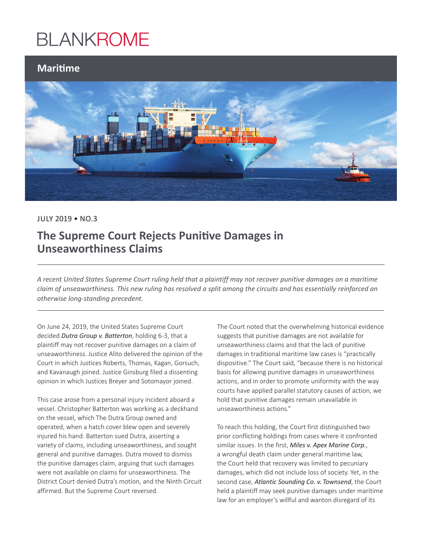## **BLANKROME**

### **Maritime**



### JULY 2019 • NO.3

## **The Supreme Court Rejects Punitive Damages in Unseaworthiness Claims**

*A recent United States Supreme Court ruling held that a plaintiff may not recover punitive damages on a maritime claim of unseaworthiness. This new ruling has resolved a split among the circuits and has essentially reinforced an otherwise long-standing precedent.*

On June 24, 2019, the United States Supreme Court decided *Dutra Group v. Batterton*, holding 6-3, that a plaintiff may not recover punitive damages on a claim of unseaworthiness. Justice Alito delivered the opinion of the Court in which Justices Roberts, Thomas, Kagan, Gorsuch, and Kavanaugh joined. Justice Ginsburg filed a dissenting opinion in which Justices Breyer and Sotomayor joined.

This case arose from a personal injury incident aboard a vessel. Christopher Batterton was working as a deckhand on the vessel, which The Dutra Group owned and operated, when a hatch cover blew open and severely injured his hand. Batterton sued Dutra, asserting a variety of claims, including unseaworthiness, and sought general and punitive damages. Dutra moved to dismiss the punitive damages claim, arguing that such damages were not available on claims for unseaworthiness. The District Court denied Dutra's motion, and the Ninth Circuit affirmed. But the Supreme Court reversed.

The Court noted that the overwhelming historical evidence suggests that punitive damages are not available for unseaworthiness claims and that the lack of punitive damages in traditional maritime law cases is "practically dispositive." The Court said, "because there is no historical basis for allowing punitive damages in unseaworthiness actions, and in order to promote uniformity with the way courts have applied parallel statutory causes of action, we hold that punitive damages remain unavailable in unseaworthiness actions."

To reach this holding, the Court first distinguished two prior conflicting holdings from cases where it confronted similar issues. In the first, *Miles v. Apex Marine Corp.*, a wrongful death claim under general maritime law, the Court held that recovery was limited to pecuniary damages, which did not include loss of society. Yet, in the second case, *Atlantic Sounding Co. v. Townsend*, the Court held a plaintiff may seek punitive damages under maritime law for an employer's willful and wanton disregard of its